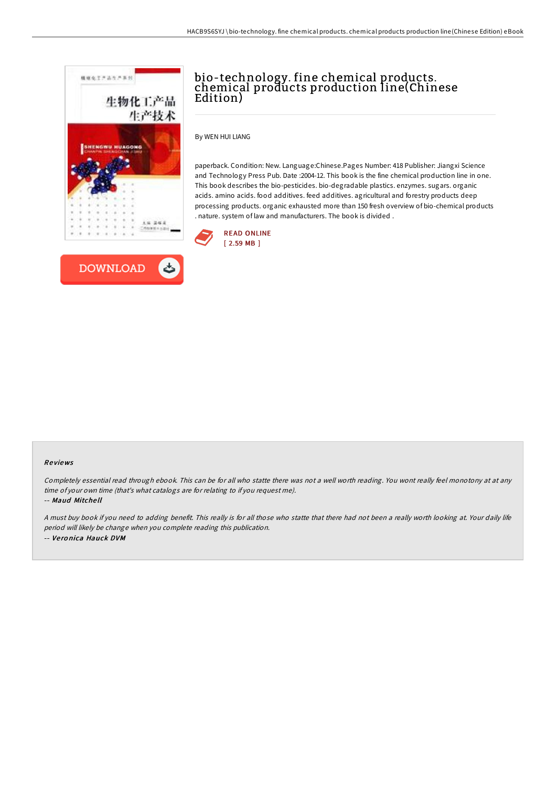



# bio-technology. fine chemical products. chemical products production line(Chinese Edition)

By WEN HUI LIANG

paperback. Condition: New. Language:Chinese.Pages Number: 418 Publisher: Jiangxi Science and Technology Press Pub. Date :2004-12. This book is the fine chemical production line in one. This book describes the bio-pesticides. bio-degradable plastics. enzymes. sugars. organic acids. amino acids. food additives. feed additives. agricultural and forestry products deep processing products. organic exhausted more than 150 fresh overview of bio-chemical products . nature. system of law and manufacturers. The book is divided .



#### Re views

Completely essential read through ebook. This can be for all who statte there was not <sup>a</sup> well worth reading. You wont really feel monotony at at any time of your own time (that's what catalogs are for relating to if you request me). -- Maud Mitche ll

<sup>A</sup> must buy book if you need to adding benefit. This really is for all those who statte that there had not been <sup>a</sup> really worth looking at. Your daily life period will likely be change when you complete reading this publication. -- Ve ro nica Hauck DVM